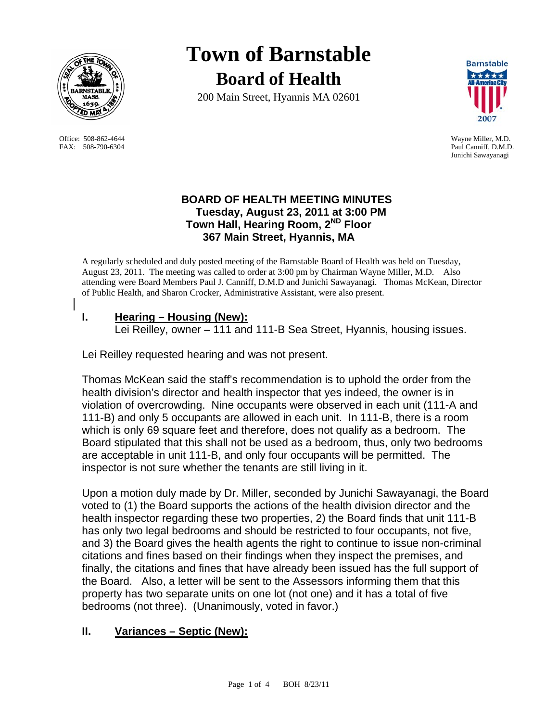

Office: 508-862-4644 Wayne Miller, M.D. FAX: 508-790-6304 Paul Canniff, D.M.D.

# **Town of Barnstable Board of Health**

200 Main Street, Hyannis MA 02601



Junichi Sawayanagi

### **BOARD OF HEALTH MEETING MINUTES Tuesday, August 23, 2011 at 3:00 PM Town Hall, Hearing Room, 2ND Floor 367 Main Street, Hyannis, MA**

A regularly scheduled and duly posted meeting of the Barnstable Board of Health was held on Tuesday, August 23, 2011. The meeting was called to order at 3:00 pm by Chairman Wayne Miller, M.D. Also attending were Board Members Paul J. Canniff, D.M.D and Junichi Sawayanagi. Thomas McKean, Director of Public Health, and Sharon Crocker, Administrative Assistant, were also present.

## **I. Hearing – Housing (New):**

Lei Reilley, owner – 111 and 111-B Sea Street, Hyannis, housing issues.

Lei Reilley requested hearing and was not present.

Thomas McKean said the staff's recommendation is to uphold the order from the health division's director and health inspector that yes indeed, the owner is in violation of overcrowding. Nine occupants were observed in each unit (111-A and 111-B) and only 5 occupants are allowed in each unit. In 111-B, there is a room which is only 69 square feet and therefore, does not qualify as a bedroom. The Board stipulated that this shall not be used as a bedroom, thus, only two bedrooms are acceptable in unit 111-B, and only four occupants will be permitted. The inspector is not sure whether the tenants are still living in it.

Upon a motion duly made by Dr. Miller, seconded by Junichi Sawayanagi, the Board voted to (1) the Board supports the actions of the health division director and the health inspector regarding these two properties, 2) the Board finds that unit 111-B has only two legal bedrooms and should be restricted to four occupants, not five, and 3) the Board gives the health agents the right to continue to issue non-criminal citations and fines based on their findings when they inspect the premises, and finally, the citations and fines that have already been issued has the full support of the Board. Also, a letter will be sent to the Assessors informing them that this property has two separate units on one lot (not one) and it has a total of five bedrooms (not three). (Unanimously, voted in favor.)

# **II. Variances – Septic (New):**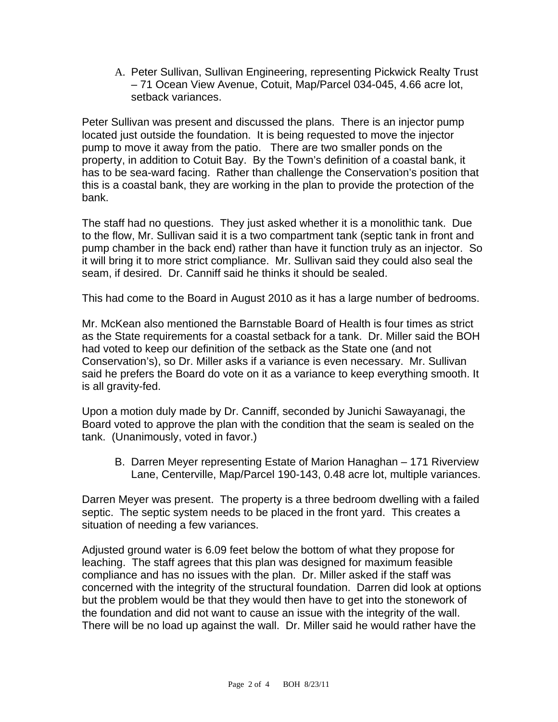A. Peter Sullivan, Sullivan Engineering, representing Pickwick Realty Trust – 71 Ocean View Avenue, Cotuit, Map/Parcel 034-045, 4.66 acre lot, setback variances.

Peter Sullivan was present and discussed the plans. There is an injector pump located just outside the foundation. It is being requested to move the injector pump to move it away from the patio. There are two smaller ponds on the property, in addition to Cotuit Bay. By the Town's definition of a coastal bank, it has to be sea-ward facing. Rather than challenge the Conservation's position that this is a coastal bank, they are working in the plan to provide the protection of the bank.

The staff had no questions. They just asked whether it is a monolithic tank. Due to the flow, Mr. Sullivan said it is a two compartment tank (septic tank in front and pump chamber in the back end) rather than have it function truly as an injector. So it will bring it to more strict compliance. Mr. Sullivan said they could also seal the seam, if desired. Dr. Canniff said he thinks it should be sealed.

This had come to the Board in August 2010 as it has a large number of bedrooms.

Mr. McKean also mentioned the Barnstable Board of Health is four times as strict as the State requirements for a coastal setback for a tank. Dr. Miller said the BOH had voted to keep our definition of the setback as the State one (and not Conservation's), so Dr. Miller asks if a variance is even necessary. Mr. Sullivan said he prefers the Board do vote on it as a variance to keep everything smooth. It is all gravity-fed.

Upon a motion duly made by Dr. Canniff, seconded by Junichi Sawayanagi, the Board voted to approve the plan with the condition that the seam is sealed on the tank. (Unanimously, voted in favor.)

B. Darren Meyer representing Estate of Marion Hanaghan – 171 Riverview Lane, Centerville, Map/Parcel 190-143, 0.48 acre lot, multiple variances.

Darren Meyer was present. The property is a three bedroom dwelling with a failed septic. The septic system needs to be placed in the front yard. This creates a situation of needing a few variances.

Adjusted ground water is 6.09 feet below the bottom of what they propose for leaching. The staff agrees that this plan was designed for maximum feasible compliance and has no issues with the plan. Dr. Miller asked if the staff was concerned with the integrity of the structural foundation. Darren did look at options but the problem would be that they would then have to get into the stonework of the foundation and did not want to cause an issue with the integrity of the wall. There will be no load up against the wall. Dr. Miller said he would rather have the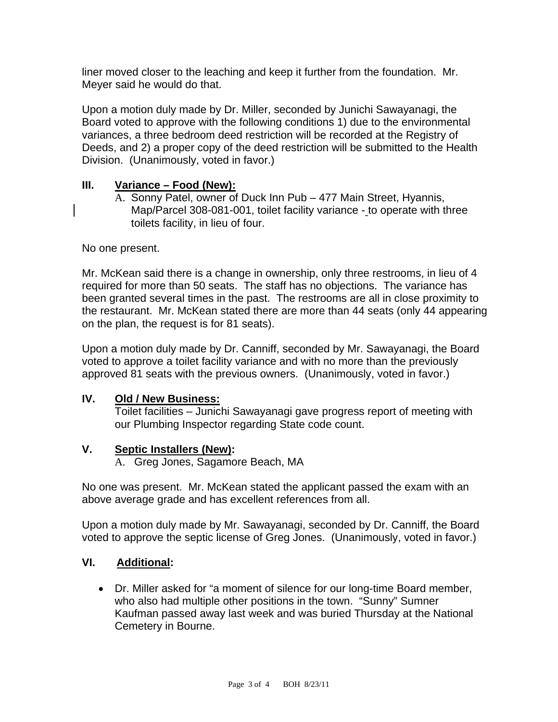liner moved closer to the leaching and keep it further from the foundation. Mr. Meyer said he would do that.

Upon a motion duly made by Dr. Miller, seconded by Junichi Sawayanagi, the Board voted to approve with the following conditions 1) due to the environmental variances, a three bedroom deed restriction will be recorded at the Registry of Deeds, and 2) a proper copy of the deed restriction will be submitted to the Health Division. (Unanimously, voted in favor.)

#### **III. Variance – Food (New):**

A. Sonny Patel, owner of Duck Inn Pub – 477 Main Street, Hyannis, Map/Parcel 308-081-001, toilet facility variance - to operate with three toilets facility, in lieu of four.

No one present.

Mr. McKean said there is a change in ownership, only three restrooms, in lieu of 4 required for more than 50 seats. The staff has no objections. The variance has been granted several times in the past. The restrooms are all in close proximity to the restaurant. Mr. McKean stated there are more than 44 seats (only 44 appearing on the plan, the request is for 81 seats).

Upon a motion duly made by Dr. Canniff, seconded by Mr. Sawayanagi, the Board voted to approve a toilet facility variance and with no more than the previously approved 81 seats with the previous owners. (Unanimously, voted in favor.)

#### **IV. Old / New Business:**

Toilet facilities – Junichi Sawayanagi gave progress report of meeting with our Plumbing Inspector regarding State code count.

#### **V. Septic Installers (New):**

A. Greg Jones, Sagamore Beach, MA

No one was present. Mr. McKean stated the applicant passed the exam with an above average grade and has excellent references from all.

Upon a motion duly made by Mr. Sawayanagi, seconded by Dr. Canniff, the Board voted to approve the septic license of Greg Jones. (Unanimously, voted in favor.)

#### **VI. Additional:**

 Dr. Miller asked for "a moment of silence for our long-time Board member, who also had multiple other positions in the town. "Sunny" Sumner Kaufman passed away last week and was buried Thursday at the National Cemetery in Bourne.